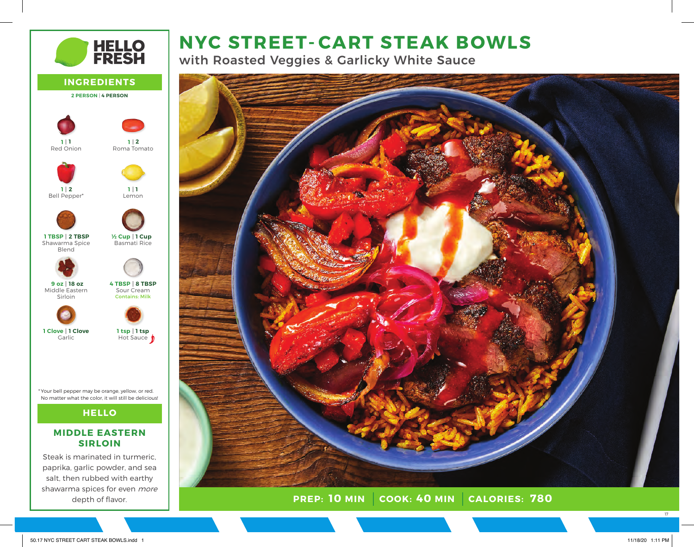

with Roasted Veggies & Garlicky White Sauce



**PREP: COOK: CALORIES: 10 MIN 40 MIN 780**



### **MIDDLE EASTERN SIRLOIN**

Steak is marinated in turmeric, paprika, garlic powder, and sea salt, then rubbed with earthy shawarma spices for even more depth of flavor.

17